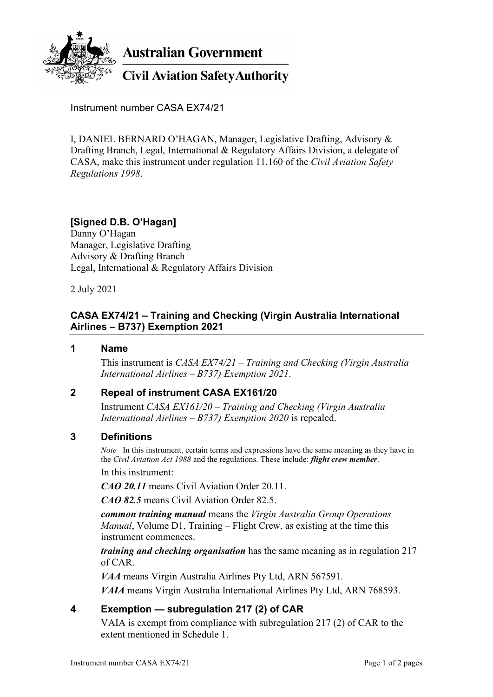

**Australian Government** 

# **Civil Aviation Safety Authority**

Instrument number CASA EX74/21

I, DANIEL BERNARD O'HAGAN, Manager, Legislative Drafting, Advisory & Drafting Branch, Legal, International & Regulatory Affairs Division, a delegate of CASA, make this instrument under regulation 11.160 of the *Civil Aviation Safety Regulations 1998*.

# **[Signed D.B. O'Hagan]**

Danny O'Hagan Manager, Legislative Drafting Advisory & Drafting Branch Legal, International & Regulatory Affairs Division

2 July 2021

## **CASA EX74/21 – Training and Checking (Virgin Australia International Airlines – B737) Exemption 2021**

#### **1 Name**

This instrument is *CASA EX74/21 – Training and Checking (Virgin Australia International Airlines – B737) Exemption 2021*.

#### **2 Repeal of instrument CASA EX161/20**

Instrument *CASA EX161/20 – Training and Checking (Virgin Australia International Airlines – B737) Exemption 2020* is repealed.

#### **3 Definitions**

*Note* In this instrument, certain terms and expressions have the same meaning as they have in the *Civil Aviation Act 1988* and the regulations. These include: *flight crew member*.

In this instrument:

*CAO 20.11* means Civil Aviation Order 20.11.

*CAO 82.5* means Civil Aviation Order 82.5.

*common training manual* means the *Virgin Australia Group Operations Manual*, Volume D1, Training – Flight Crew, as existing at the time this instrument commences.

*training and checking organisation* has the same meaning as in regulation 217 of CAR.

*VAA* means Virgin Australia Airlines Pty Ltd, ARN 567591. *VAIA* means Virgin Australia International Airlines Pty Ltd, ARN 768593.

## **4 Exemption — subregulation 217 (2) of CAR**

VAIA is exempt from compliance with subregulation 217 (2) of CAR to the extent mentioned in Schedule 1.